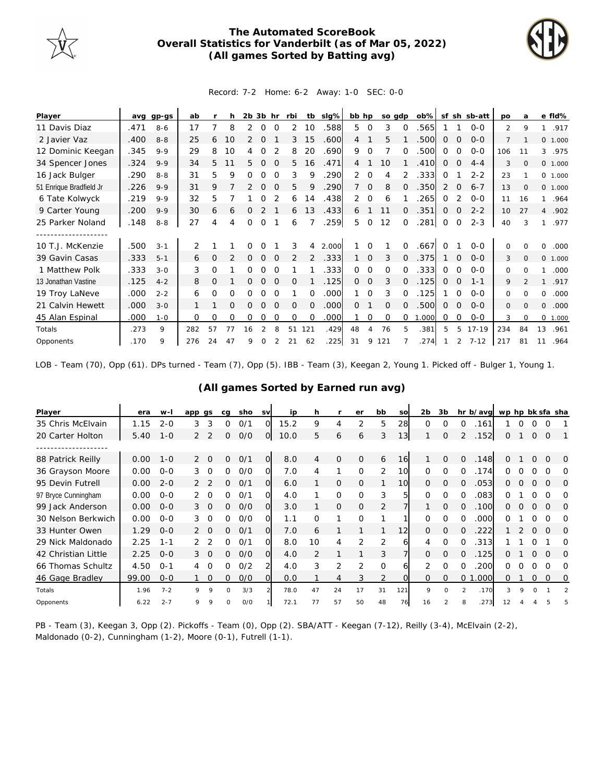

## **The Automated ScoreBook Overall Statistics for Vanderbilt (as of Mar 05, 2022) (All games Sorted by Batting avg)**



## Record: 7-2 Home: 6-2 Away: 1-0 SEC: 0-0

| Player                  | avq  | gp-gs   | ab  |                | h              | $2b$ $3b$ hr   |          |          | rbi            |                | tb sig% | bb hp          |              | so gdp   |          | $ob\%$ |          |          | sf sh sb-att | po             | a              | e fld%         |      |
|-------------------------|------|---------|-----|----------------|----------------|----------------|----------|----------|----------------|----------------|---------|----------------|--------------|----------|----------|--------|----------|----------|--------------|----------------|----------------|----------------|------|
| 11 Davis Diaz           | .471 | $8 - 6$ | 17  |                | 8              | 2              | 0        | $\Omega$ | 2              | 10             | .588    | 5              | 0            | 3        | $\Omega$ | .565   |          |          | $0-0$        | $\overline{2}$ | 9              | $\mathbf{1}$   | .917 |
| 2 Javier Vaz            | .400 | $8 - 8$ | 25  | 6              | 10             | 2              | $\Omega$ |          | 3              | 15             | .600    | $\overline{4}$ |              | 5        |          | .500   | 0        | $\Omega$ | $O - O$      | $\overline{7}$ |                | 0 1.000        |      |
| 12 Dominic Keegan       | .345 | $9 - 9$ | 29  | 8              | 10             | 4              | $\Omega$ |          | 8              | 20             | .690    | 9              | $\Omega$     |          | $\Omega$ | .500   | $\Omega$ | $\Omega$ | $0 - 0$      | 106            | 11             | 3              | .975 |
| 34 Spencer Jones        | .324 | $9 - 9$ | 34  | 5.             |                | 5.             | $\Omega$ | $\Omega$ | 5              | 16             | .471    | $\overline{4}$ |              | 10       |          | .410   | 0        | 0        | $4 - 4$      | 3              | $\Omega$       | 0 1.000        |      |
| 16 Jack Bulger          | .290 | $8 - 8$ | 31  | 5              | 9              | Ω              | O        | $\Omega$ | 3              | 9              | 290     | 2              | $\Omega$     | 4        |          | 333    | 0        |          | $2 - 2$      | 23             |                | 0 1.000        |      |
| 51 Enrique Bradfield Jr | .226 | $9 - 9$ | 31  | 9              |                | $\overline{2}$ | $\Omega$ | $\Omega$ | 5              | 9              | .290    |                | $\mathbf 0$  | 8        | $\Omega$ | .350   | 2        | 0        | $6 - 7$      | 13             | $\Omega$       | 0 1.000        |      |
| 6 Tate Kolwyck          | .219 | $9 - 9$ | 32  | 5              |                |                | 0        |          | 6              | 14             | .438    | 2              | 0            | 6        |          | 265    | 0        |          | $0 - 0$      | 11             | 16             | $\mathbf{1}$   | .964 |
| 9 Carter Young          | .200 | $9 - 9$ | 30  | 6              | 6              | 0              |          |          | 6              | 13             | .433    | 6              |              | 11       | $\Omega$ | .351   | 0        | 0        | $2 - 2$      | 10             | 27             | $\overline{4}$ | .902 |
| 25 Parker Noland        | .148 | $8 - 8$ | 27  | 4              | 4              | 0              | $\Omega$ |          | 6              |                | .259    | 5              | $\Omega$     | 12       | $\Omega$ | .281   | 0        | 0        | $2 - 3$      | 40             | 3              | 1              | .977 |
|                         |      |         |     |                |                |                |          |          |                |                |         |                |              |          |          |        |          |          |              |                |                |                |      |
| 10 T.J. McKenzie        | .500 | $3 - 1$ | 2   |                |                |                |          |          | 3              | 4              | 2.000   |                |              |          | $\Omega$ | .667   | $\Omega$ |          | $0 - 0$      | 0              | $\Omega$       | 0              | .000 |
| 39 Gavin Casas          | .333 | $5 - 1$ | 6   | $\circ$        | $\overline{2}$ | $\Omega$       | $\Omega$ | $\Omega$ | $\overline{2}$ | $\overline{2}$ | .333    |                | $\mathbf{O}$ | 3        | $\Omega$ | .375   |          | $\Omega$ | $0 - 0$      | 3              | $\Omega$       | 0 1.000        |      |
| 1 Matthew Polk          | .333 | $3 - 0$ | 3   | 0              |                | 0              | $\Omega$ | $\Omega$ |                |                | .333    | $\Omega$       | 0            | 0        | $\Omega$ | 333    | 0        | $\Omega$ | $0 - 0$      | 0              | $\Omega$       | 1              | .000 |
| 13 Jonathan Vastine     | .125 | $4 - 2$ | 8   | $\overline{O}$ |                | 0              | $\Omega$ | $\Omega$ | $\Omega$       |                | .125    | $\Omega$       | $\Omega$     | 3        | $\Omega$ | .125   | 0        | $\Omega$ | $1 - 1$      | 9              | $\mathfrak{D}$ | $\mathbf{1}$   | .917 |
| 19 Troy LaNeve          | .000 | $2 - 2$ | 6   | 0              | 0              | 0              | O        | $\Omega$ |                | $\Omega$       | .000    |                | $\Omega$     | 3        | $\Omega$ | .125   |          | $\Omega$ | $0 - 0$      | 0              | $\Omega$       | 0              | .000 |
| 21 Calvin Hewett        | .000 | $3 - 0$ |     |                | O              | 0              | $\Omega$ | $\Omega$ | $\Omega$       | 0              | .000    | $\Omega$       |              | $\Omega$ | 0        | .500   | 0        | 0        | $O - O$      | 0              | $\Omega$       | 0              | .000 |
| 45 Alan Espinal         | .000 | $1 - 0$ | 0   | 0              | 0              | 0              | 0        | 0        | 0              | $\Omega$       | .000    |                | 0            | $\Omega$ | $\Omega$ | 1.000  | 0        | 0        | $0-0$        | 3              | $\Omega$       | 0 1.000        |      |
| Totals                  | .273 | 9       | 282 | 57             | 77             | 16             |          |          | 51             | 121            | .429    | 48             | 4            | 76       | 5        | .381   | 5        | 5        | $17 - 19$    | 234            | 84             | 13             | .961 |
| Opponents               | .170 | 9       | 276 | 24             | 47             | 9              | Ω        |          | 21             | 62             | .225    | 31             | 9            | 121      |          | .274   |          | 2        | $7 - 12$     | 217            | 81             | 11             | .964 |

LOB - Team (70), Opp (61). DPs turned - Team (7), Opp (5). IBB - Team (3), Keegan 2, Young 1. Picked off - Bulger 1, Young 1.

| Player              | era   | $W -$   | app gs         |          | cq           | sho | <b>SV</b>      | ip   | h              |               | er            | bb             | so             | 2 <sub>b</sub> | 3b       |                | hr b/avg wp hp bk sfa sha |    |         |          |          |          |
|---------------------|-------|---------|----------------|----------|--------------|-----|----------------|------|----------------|---------------|---------------|----------------|----------------|----------------|----------|----------------|---------------------------|----|---------|----------|----------|----------|
| 35 Chris McElvain   | 1.15  | $2 - 0$ | 3              | 3        | 0            | O/1 | O.             | 15.2 | 9              | 4             | 2             | 5              | 28             | $\Omega$       | $\Omega$ | $\Omega$       | 161                       |    | 0       | 0        | $\Omega$ |          |
| 20 Carter Holton    | 5.40  | $1 - 0$ | $\overline{2}$ | 2        | 0            | O/O | $\overline{O}$ | 10.0 | 5              | 6             | 6             | 3              | 13             |                | 0        | $\overline{2}$ | .152                      | 0  |         | $\Omega$ | $\Omega$ |          |
|                     |       |         |                |          |              |     |                |      |                |               |               |                |                |                |          |                |                           |    |         |          |          |          |
| 88 Patrick Reilly   | 0.00  | $1 - 0$ | $\overline{2}$ | $\Omega$ | 0            | 0/1 | $\overline{O}$ | 8.0  | 4              | $\mathcal{O}$ | $\mathcal{O}$ | 6              | 16             |                | $\Omega$ | $\Omega$       | .148                      | 0  |         | $\Omega$ | $\Omega$ | $\Omega$ |
| 36 Grayson Moore    | 0.00  | $0 - 0$ | 3              | $\Omega$ | 0            | O/O | O.             | 7.0  | 4              |               | $\Omega$      | $\overline{2}$ | 10             | $\Omega$       | $\Omega$ | $\Omega$       | .174                      | 0  |         |          |          | O        |
| 95 Devin Futrell    | 0.00  | $2 - 0$ |                |          | 0            | O/1 | 0l             | 6.0  |                | $\mathcal{O}$ | $\Omega$      |                | 10             | $\Omega$       | $\Omega$ | $\Omega$       | .053                      | 0  |         |          | $\Omega$ | $\Omega$ |
| 97 Bryce Cunningham | 0.00  | $0 - 0$ |                | $\circ$  | 0            | 0/1 | O.             | 4.0  |                | 0             | $\Omega$      | 3              | 5              | $\Omega$       | $\Omega$ | $\Omega$       | .083                      | 0  |         | 0        | O        | ∩        |
| 99 Jack Anderson    | 0.00  | $0 - 0$ | 3              | $\Omega$ | $\Omega$     | O/O | O.             | 3.0  |                | $\Omega$      | $\Omega$      | 2              |                |                | $\Omega$ | $\Omega$       | .100                      | 0  |         | $\Omega$ | $\Omega$ | $\Omega$ |
| 30 Nelson Berkwich  | 0.00  | $0 - 0$ | 3.             | $\Omega$ | ∩            | O/O | $\Omega$       | 1.1  | $\Omega$       |               | $\Omega$      |                |                | $\Omega$       | $\Omega$ | $\Omega$       | .000                      |    |         |          | $\Omega$ | ∩        |
| 33 Hunter Owen      | 1.29  | $0 - 0$ |                | $\Omega$ | 0            | O/1 | $\overline{O}$ | 7.0  | 6              |               |               | 1              | 12             | $\Omega$       | 0        | $\Omega$       | .222                      |    |         |          |          | 0        |
| 29 Nick Maldonado   | 2.25  | $1 - 1$ |                |          | 0            | 0/1 | O.             | 8.0  | 10             | 4             | 2             | $\overline{2}$ | 61             | 4              | $\Omega$ | $\Omega$       | .313                      |    |         | O        |          | O        |
| 42 Christian Little | 2.25  | $0 - 0$ | 3              | $\Omega$ | 0            | O/O | $\Omega$       | 4.0  | $\overline{2}$ |               |               | 3              | $\overline{7}$ | $\Omega$       | $\Omega$ | $\overline{0}$ | .125                      | 0  |         |          | O        | O        |
| 66 Thomas Schultz   | 4.50  | $O - 1$ | 4              | $\Omega$ | 0            | 0/2 | $\overline{2}$ | 4.0  | 3              | 2             | 2             | $\mathbf 0$    | 6              | 2              | $\Omega$ | $\Omega$       | 200                       | 0  |         |          | Ω        | ∩        |
| 46 Gage Bradley     | 99.00 | $0 - 0$ |                | $\Omega$ | 0            | O/O | O.             | 0.0  |                | 4             | 3             | 2              | $\Omega$       | $\Omega$       | $\Omega$ | 0 <sub>1</sub> | .000                      | 0  |         | 0        | $\Omega$ | 0        |
| Totals              | 1.96  | $7 - 2$ | 9              | 9        | <sup>n</sup> | 3/3 |                | 78.0 | 47             | 24            | 17            | 31             | 121            | $\circ$        | $\Omega$ | $\mathcal{P}$  | .170                      | 3  | $\circ$ | $\Omega$ |          |          |
| Opponents           | 6.22  | $2 - 7$ | $\circ$        | 9        | O            | O/O |                | 72.1 | 77             | 57            | 50            | 48             | 76             | 16             |          |                | 273                       | 12 |         |          |          |          |

## **(All games Sorted by Earned run avg)**

PB - Team (3), Keegan 3, Opp (2). Pickoffs - Team (0), Opp (2). SBA/ATT - Keegan (7-12), Reilly (3-4), McElvain (2-2), Maldonado (0-2), Cunningham (1-2), Moore (0-1), Futrell (1-1).